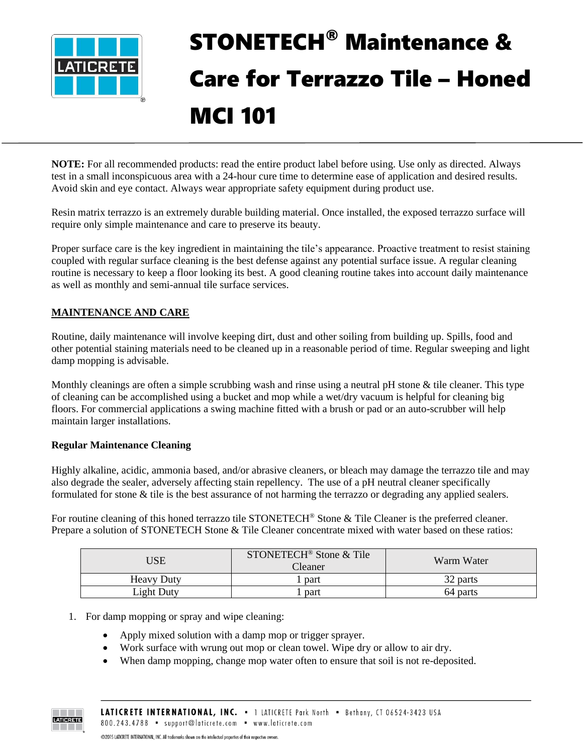

# STONETECH® Maintenance & Care for Terrazzo Tile – Honed MCI 101

**NOTE:** For all recommended products: read the entire product label before using. Use only as directed. Always test in a small inconspicuous area with a 24-hour cure time to determine ease of application and desired results. Avoid skin and eye contact. Always wear appropriate safety equipment during product use.

Resin matrix terrazzo is an extremely durable building material. Once installed, the exposed terrazzo surface will require only simple maintenance and care to preserve its beauty.

Proper surface care is the key ingredient in maintaining the tile's appearance. Proactive treatment to resist staining coupled with regular surface cleaning is the best defense against any potential surface issue. A regular cleaning routine is necessary to keep a floor looking its best. A good cleaning routine takes into account daily maintenance as well as monthly and semi-annual tile surface services.

## **MAINTENANCE AND CARE**

Routine, daily maintenance will involve keeping dirt, dust and other soiling from building up. Spills, food and other potential staining materials need to be cleaned up in a reasonable period of time. Regular sweeping and light damp mopping is advisable.

Monthly cleanings are often a simple scrubbing wash and rinse using a neutral pH stone & tile cleaner. This type of cleaning can be accomplished using a bucket and mop while a wet/dry vacuum is helpful for cleaning big floors. For commercial applications a swing machine fitted with a brush or pad or an auto-scrubber will help maintain larger installations.

### **Regular Maintenance Cleaning**

Highly alkaline, acidic, ammonia based, and/or abrasive cleaners, or bleach may damage the terrazzo tile and may also degrade the sealer, adversely affecting stain repellency. The use of a pH neutral cleaner specifically formulated for stone & tile is the best assurance of not harming the terrazzo or degrading any applied sealers.

For routine cleaning of this honed terrazzo tile STONETECH<sup>®</sup> Stone & Tile Cleaner is the preferred cleaner. Prepare a solution of STONETECH Stone & Tile Cleaner concentrate mixed with water based on these ratios:

| JSE               | STONETECH <sup>®</sup> Stone & Tile<br>Cleaner | Warm Water |
|-------------------|------------------------------------------------|------------|
| <b>Heavy Duty</b> | part                                           | 32 parts   |
| Light Duty        | part                                           | 64 parts   |

- 1. For damp mopping or spray and wipe cleaning:
	- Apply mixed solution with a damp mop or trigger sprayer.
	- Work surface with wrung out mop or clean towel. Wipe dry or allow to air dry.
	- When damp mopping, change mop water often to ensure that soil is not re-deposited.

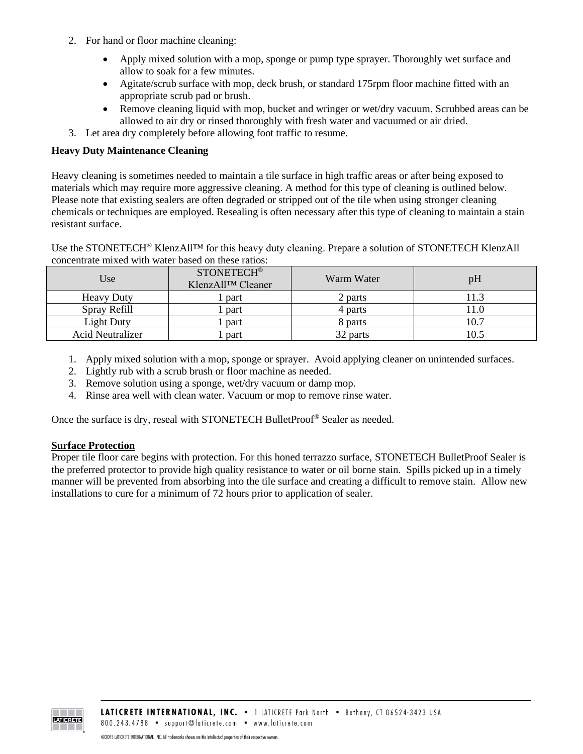- 2. For hand or floor machine cleaning:
	- Apply mixed solution with a mop, sponge or pump type sprayer. Thoroughly wet surface and allow to soak for a few minutes.
	- Agitate/scrub surface with mop, deck brush, or standard 175rpm floor machine fitted with an appropriate scrub pad or brush.
	- Remove cleaning liquid with mop, bucket and wringer or wet/dry vacuum. Scrubbed areas can be allowed to air dry or rinsed thoroughly with fresh water and vacuumed or air dried.
- 3. Let area dry completely before allowing foot traffic to resume.

#### **Heavy Duty Maintenance Cleaning**

Heavy cleaning is sometimes needed to maintain a tile surface in high traffic areas or after being exposed to materials which may require more aggressive cleaning. A method for this type of cleaning is outlined below. Please note that existing sealers are often degraded or stripped out of the tile when using stronger cleaning chemicals or techniques are employed. Resealing is often necessary after this type of cleaning to maintain a stain resistant surface.

Use the STONETECH<sup>®</sup> KlenzAll<sup>™</sup> for this heavy duty cleaning. Prepare a solution of STONETECH KlenzAll concentrate mixed with water based on these ratios:

| Use.                    | <b>STONETECH®</b><br>KlenzAll™ Cleaner | Warm Water | pH   |
|-------------------------|----------------------------------------|------------|------|
| <b>Heavy Duty</b>       | part                                   | 2 parts    | 11.3 |
| Spray Refill            | part                                   | 4 parts    | 11.0 |
| Light Duty              | part                                   | 8 parts    | 10.7 |
| <b>Acid Neutralizer</b> | part                                   | 32 parts   | 10.5 |

- 1. Apply mixed solution with a mop, sponge or sprayer. Avoid applying cleaner on unintended surfaces.
- 2. Lightly rub with a scrub brush or floor machine as needed.
- 3. Remove solution using a sponge, wet/dry vacuum or damp mop.
- 4. Rinse area well with clean water. Vacuum or mop to remove rinse water.

Once the surface is dry, reseal with STONETECH BulletProof® Sealer as needed.

#### **Surface Protection**

Proper tile floor care begins with protection. For this honed terrazzo surface, STONETECH BulletProof Sealer is the preferred protector to provide high quality resistance to water or oil borne stain. Spills picked up in a timely manner will be prevented from absorbing into the tile surface and creating a difficult to remove stain. Allow new installations to cure for a minimum of 72 hours prior to application of sealer.